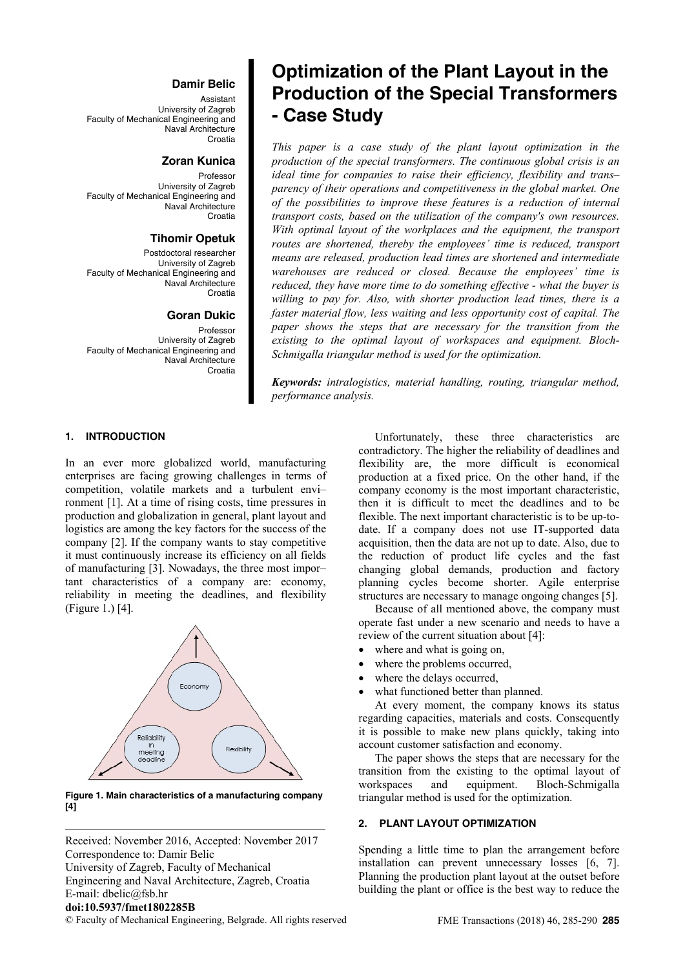#### **Damir Belic**

Assistant University of Zagreb Faculty of Mechanical Engineering and Naval Architecture Croatia

## **Zoran Kunica**

Professor University of Zagreb Faculty of Mechanical Engineering and Naval Architecture Croatia

#### **Tihomir Opetuk**

Postdoctoral researcher University of Zagreb Faculty of Mechanical Engineering and Naval Architecture Croatia

#### **Goran Dukic**

Professor University of Zagreb Faculty of Mechanical Engineering and Naval Architecture Croatia

#### **1. INTRODUCTION**

In an ever more globalized world, manufacturing enterprises are facing growing challenges in terms of competition, volatile markets and a turbulent envi– ronment [1]. At a time of rising costs, time pressures in production and globalization in general, plant layout and logistics are among the key factors for the success of the company [2]. If the company wants to stay competitive it must continuously increase its efficiency on all fields of manufacturing [3]. Nowadays, the three most impor– tant characteristics of a company are: economy, reliability in meeting the deadlines, and flexibility (Figure 1.) [4].



**Figure 1. Main characteristics of a manufacturing company [4]** 

Received: November 2016, Accepted: November 2017 Correspondence to: Damir Belic

University of Zagreb, Faculty of Mechanical Engineering and Naval Architecture, Zagreb, Croatia E-mail: dbelic@fsb.hr

## **doi:10.5937/fmet1802285B**

© Faculty of Mechanical Engineering, Belgrade. All rights reserved FME Transactions (2018) 46, 285-290 **285**

# **Optimization of the Plant Layout in the Production of the Special Transformers - Case Study**

*This paper is a case study of the plant layout optimization in the production of the special transformers. The continuous global crisis is an ideal time for companies to raise their efficiency, flexibility and trans– parency of their operations and competitiveness in the global market. One of the possibilities to improve these features is a reduction of internal transport costs, based on the utilization of the company's own resources. With optimal layout of the workplaces and the equipment, the transport routes are shortened, thereby the employees' time is reduced, transport means are released, production lead times are shortened and intermediate warehouses are reduced or closed. Because the employees' time is reduced, they have more time to do something effective - what the buyer is willing to pay for. Also, with shorter production lead times, there is a faster material flow, less waiting and less opportunity cost of capital. The paper shows the steps that are necessary for the transition from the existing to the optimal layout of workspaces and equipment. Bloch-Schmigalla triangular method is used for the optimization.* 

*Keywords: intralogistics, material handling, routing, triangular method, performance analysis.* 

> Unfortunately, these three characteristics are contradictory. The higher the reliability of deadlines and flexibility are, the more difficult is economical production at a fixed price. On the other hand, if the company economy is the most important characteristic, then it is difficult to meet the deadlines and to be flexible. The next important characteristic is to be up-todate. If a company does not use IT-supported data acquisition, then the data are not up to date. Also, due to the reduction of product life cycles and the fast changing global demands, production and factory planning cycles become shorter. Agile enterprise structures are necessary to manage ongoing changes [5].

> Because of all mentioned above, the company must operate fast under a new scenario and needs to have a review of the current situation about [4]:

- where and what is going on.
- where the problems occurred,
- where the delays occurred,
- what functioned better than planned.

At every moment, the company knows its status regarding capacities, materials and costs. Consequently it is possible to make new plans quickly, taking into account customer satisfaction and economy.

The paper shows the steps that are necessary for the transition from the existing to the optimal layout of workspaces and equipment. Bloch-Schmigalla triangular method is used for the optimization.

#### **2. PLANT LAYOUT OPTIMIZATION**

Spending a little time to plan the arrangement before installation can prevent unnecessary losses [6, 7]. Planning the production plant layout at the outset before building the plant or office is the best way to reduce the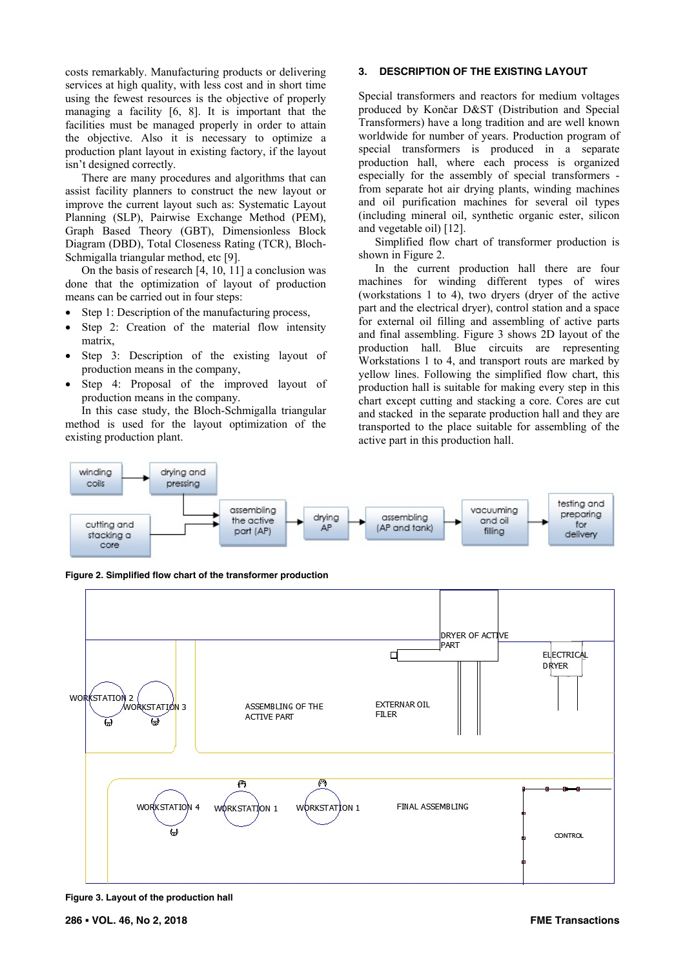costs remarkably. Manufacturing products or delivering services at high quality, with less cost and in short time using the fewest resources is the objective of properly managing a facility [6, 8]. It is important that the facilities must be managed properly in order to attain the objective. Also it is necessary to optimize a production plant layout in existing factory, if the layout isn't designed correctly.

There are many procedures and algorithms that can assist facility planners to construct the new layout or improve the current layout such as: Systematic Layout Planning (SLP), Pairwise Exchange Method (PEM), Graph Based Theory (GBT), Dimensionless Block Diagram (DBD), Total Closeness Rating (TCR), Bloch-Schmigalla triangular method, etc [9].

On the basis of research [4, 10, 11] a conclusion was done that the optimization of layout of production means can be carried out in four steps:

- Step 1: Description of the manufacturing process,
- Step 2: Creation of the material flow intensity matrix,
- Step 3: Description of the existing layout of production means in the company,
- Step 4: Proposal of the improved layout of production means in the company.

In this case study, the Bloch-Schmigalla triangular method is used for the layout optimization of the existing production plant.

## **3. DESCRIPTION OF THE EXISTING LAYOUT**

Special transformers and reactors for medium voltages produced by Končar D&ST (Distribution and Special Transformers) have a long tradition and are well known worldwide for number of years. Production program of special transformers is produced in a separate production hall, where each process is organized especially for the assembly of special transformers from separate hot air drying plants, winding machines and oil purification machines for several oil types (including mineral oil, synthetic organic ester, silicon and vegetable oil) [12].

Simplified flow chart of transformer production is shown in Figure 2.

In the current production hall there are four machines for winding different types of wires (workstations 1 to 4), two dryers (dryer of the active part and the electrical dryer), control station and a space for external oil filling and assembling of active parts and final assembling. Figure 3 shows 2D layout of the production hall. Blue circuits are representing Workstations 1 to 4, and transport routs are marked by yellow lines. Following the simplified flow chart, this production hall is suitable for making every step in this chart except cutting and stacking a core. Cores are cut and stacked in the separate production hall and they are transported to the place suitable for assembling of the active part in this production hall.



**Figure 2. Simplified flow chart of the transformer production** 



**Figure 3. Layout of the production hall**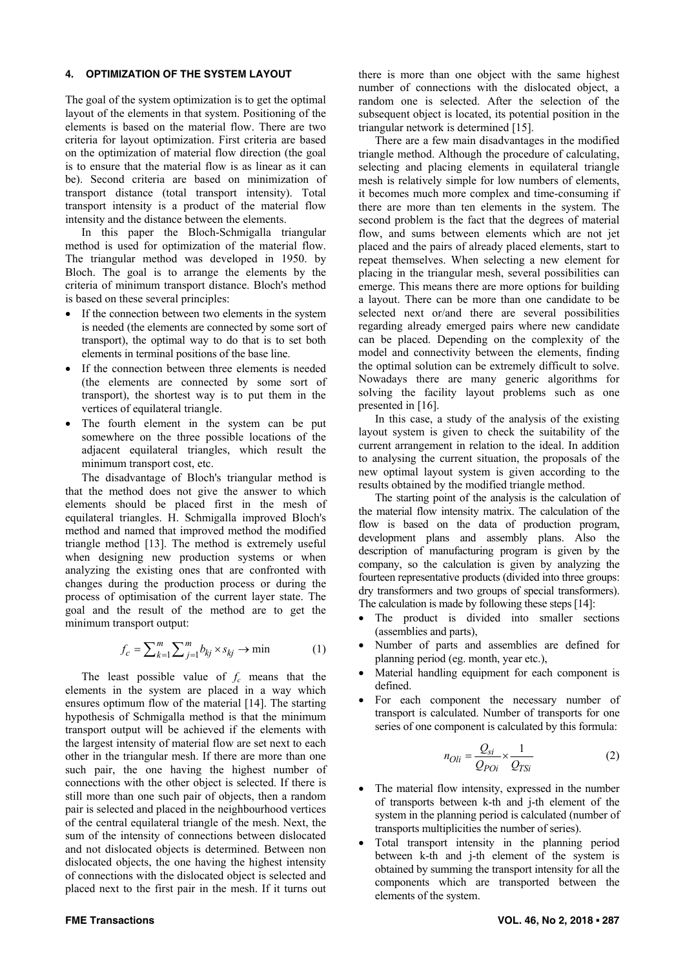#### **4. OPTIMIZATION OF THE SYSTEM LAYOUT**

The goal of the system optimization is to get the optimal layout of the elements in that system. Positioning of the elements is based on the material flow. There are two criteria for layout optimization. First criteria are based on the optimization of material flow direction (the goal is to ensure that the material flow is as linear as it can be). Second criteria are based on minimization of transport distance (total transport intensity). Total transport intensity is a product of the material flow intensity and the distance between the elements.

In this paper the Bloch-Schmigalla triangular method is used for optimization of the material flow. The triangular method was developed in 1950. by Bloch. The goal is to arrange the elements by the criteria of minimum transport distance. Bloch's method is based on these several principles:

- If the connection between two elements in the system is needed (the elements are connected by some sort of transport), the optimal way to do that is to set both elements in terminal positions of the base line.
- If the connection between three elements is needed (the elements are connected by some sort of transport), the shortest way is to put them in the vertices of equilateral triangle.
- The fourth element in the system can be put somewhere on the three possible locations of the adjacent equilateral triangles, which result the minimum transport cost, etc.

The disadvantage of Bloch's triangular method is that the method does not give the answer to which elements should be placed first in the mesh of equilateral triangles. H. Schmigalla improved Bloch's method and named that improved method the modified triangle method [13]. The method is extremely useful when designing new production systems or when analyzing the existing ones that are confronted with changes during the production process or during the process of optimisation of the current layer state. The goal and the result of the method are to get the minimum transport output:

$$
f_c = \sum_{k=1}^{m} \sum_{j=1}^{m} b_{kj} \times s_{kj} \to \min
$$
 (1)

The least possible value of  $f_c$  means that the elements in the system are placed in a way which ensures optimum flow of the material [14]. The starting hypothesis of Schmigalla method is that the minimum transport output will be achieved if the elements with the largest intensity of material flow are set next to each other in the triangular mesh. If there are more than one such pair, the one having the highest number of connections with the other object is selected. If there is still more than one such pair of objects, then a random pair is selected and placed in the neighbourhood vertices of the central equilateral triangle of the mesh. Next, the sum of the intensity of connections between dislocated and not dislocated objects is determined. Between non dislocated objects, the one having the highest intensity of connections with the dislocated object is selected and placed next to the first pair in the mesh. If it turns out there is more than one object with the same highest number of connections with the dislocated object, a random one is selected. After the selection of the subsequent object is located, its potential position in the triangular network is determined [15].

There are a few main disadvantages in the modified triangle method. Although the procedure of calculating, selecting and placing elements in equilateral triangle mesh is relatively simple for low numbers of elements, it becomes much more complex and time-consuming if there are more than ten elements in the system. The second problem is the fact that the degrees of material flow, and sums between elements which are not jet placed and the pairs of already placed elements, start to repeat themselves. When selecting a new element for placing in the triangular mesh, several possibilities can emerge. This means there are more options for building a layout. There can be more than one candidate to be selected next or/and there are several possibilities regarding already emerged pairs where new candidate can be placed. Depending on the complexity of the model and connectivity between the elements, finding the optimal solution can be extremely difficult to solve. Nowadays there are many generic algorithms for solving the facility layout problems such as one presented in [16].

In this case, a study of the analysis of the existing layout system is given to check the suitability of the current arrangement in relation to the ideal. In addition to analysing the current situation, the proposals of the new optimal layout system is given according to the results obtained by the modified triangle method.

The starting point of the analysis is the calculation of the material flow intensity matrix. The calculation of the flow is based on the data of production program, development plans and assembly plans. Also the description of manufacturing program is given by the company, so the calculation is given by analyzing the fourteen representative products (divided into three groups: dry transformers and two groups of special transformers). The calculation is made by following these steps [14]:

- The product is divided into smaller sections (assemblies and parts),
- Number of parts and assemblies are defined for planning period (eg. month, year etc.),
- Material handling equipment for each component is defined.
- For each component the necessary number of transport is calculated. Number of transports for one series of one component is calculated by this formula:

$$
n_{Oli} = \frac{Q_{si}}{Q_{Poi}} \times \frac{1}{Q_{TSi}}\tag{2}
$$

- The material flow intensity, expressed in the number of transports between k-th and j-th element of the system in the planning period is calculated (number of transports multiplicities the number of series).
- Total transport intensity in the planning period between k-th and j-th element of the system is obtained by summing the transport intensity for all the components which are transported between the elements of the system.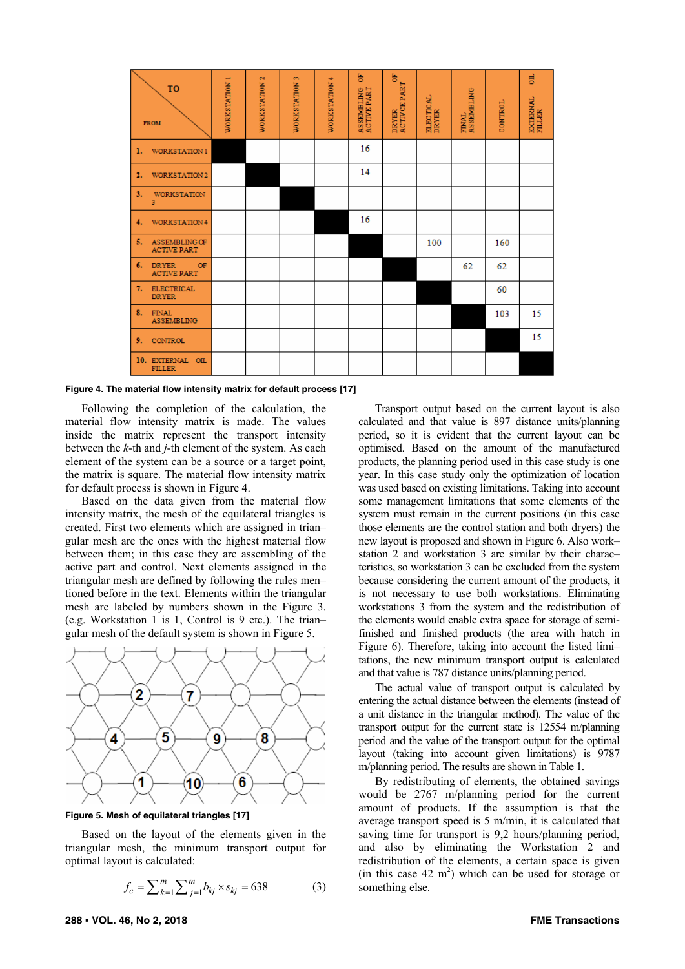| <b>TO</b><br><b>FROM</b>                       | WORKSTATION 1 | WORKSTATION 2 | <b>WORKSTATION 3</b> | WORKSTATION 4 | ă<br>ASSEMBLING<br>ACTIVE PART | 뜽<br>DRYER<br>ACTIVCE PART | ELECTICAL<br>DRYER | FINAL<br>ASSEMBLING | CONTROL | 븅<br>EXTERNAL<br>FILLER |
|------------------------------------------------|---------------|---------------|----------------------|---------------|--------------------------------|----------------------------|--------------------|---------------------|---------|-------------------------|
| WORKSTATION 1<br>ı.                            |               |               |                      |               | 16                             |                            |                    |                     |         |                         |
| 2.<br>WORKSTATION 2                            |               |               |                      |               | 14                             |                            |                    |                     |         |                         |
| 3.<br><b>WORKSTATION</b><br>3                  |               |               |                      |               |                                |                            |                    |                     |         |                         |
| WORKSTATION 4<br>4.                            |               |               |                      |               | 16                             |                            |                    |                     |         |                         |
| 5.<br>ASSEMBLING OF<br><b>ACTIVE PART</b>      |               |               |                      |               |                                |                            | 100                |                     | 160     |                         |
| 6.<br><b>DRYER</b><br>OF<br><b>ACTIVE PART</b> |               |               |                      |               |                                |                            |                    | 62                  | 62      |                         |
| 7.<br><b>ELECTRICAL</b><br><b>DRYER</b>        |               |               |                      |               |                                |                            |                    |                     | 60      |                         |
| 8.<br><b>FINAL</b><br><b>ASSEMBLING</b>        |               |               |                      |               |                                |                            |                    |                     | 103     | 15                      |
| 9.<br>CONTROL                                  |               |               |                      |               |                                |                            |                    |                     |         | 15                      |
| 10. EXTERNAL<br>OIL<br><b>FILLER</b>           |               |               |                      |               |                                |                            |                    |                     |         |                         |

**Figure 4. The material flow intensity matrix for default process [17]** 

Following the completion of the calculation, the material flow intensity matrix is made. The values inside the matrix represent the transport intensity between the *k*-th and *j*-th element of the system. As each element of the system can be a source or a target point, the matrix is square. The material flow intensity matrix for default process is shown in Figure 4.

Based on the data given from the material flow intensity matrix, the mesh of the equilateral triangles is created. First two elements which are assigned in trian– gular mesh are the ones with the highest material flow between them; in this case they are assembling of the active part and control. Next elements assigned in the triangular mesh are defined by following the rules men– tioned before in the text. Elements within the triangular mesh are labeled by numbers shown in the Figure 3. (e.g. Workstation 1 is 1, Control is 9 etc.). The trian– gular mesh of the default system is shown in Figure 5.



**Figure 5. Mesh of equilateral triangles [17]** 

Based on the layout of the elements given in the triangular mesh, the minimum transport output for optimal layout is calculated:

$$
f_c = \sum_{k=1}^{m} \sum_{j=1}^{m} b_{kj} \times s_{kj} = 638
$$
 (3)

Transport output based on the current layout is also calculated and that value is 897 distance units/planning period, so it is evident that the current layout can be optimised. Based on the amount of the manufactured products, the planning period used in this case study is one year. In this case study only the optimization of location was used based on existing limitations. Taking into account some management limitations that some elements of the system must remain in the current positions (in this case those elements are the control station and both dryers) the new layout is proposed and shown in Figure 6. Also work– station 2 and workstation 3 are similar by their charac– teristics, so workstation 3 can be excluded from the system because considering the current amount of the products, it is not necessary to use both workstations. Eliminating workstations 3 from the system and the redistribution of the elements would enable extra space for storage of semifinished and finished products (the area with hatch in Figure 6). Therefore, taking into account the listed limi– tations, the new minimum transport output is calculated and that value is 787 distance units/planning period.

The actual value of transport output is calculated by entering the actual distance between the elements (instead of a unit distance in the triangular method). The value of the transport output for the current state is 12554 m/planning period and the value of the transport output for the optimal layout (taking into account given limitations) is 9787 m/planning period. The results are shown in Table 1.

By redistributing of elements, the obtained savings would be 2767 m/planning period for the current amount of products. If the assumption is that the average transport speed is 5 m/min, it is calculated that saving time for transport is 9,2 hours/planning period, and also by eliminating the Workstation 2 and redistribution of the elements, a certain space is given (in this case  $42 \text{ m}^2$ ) which can be used for storage or something else.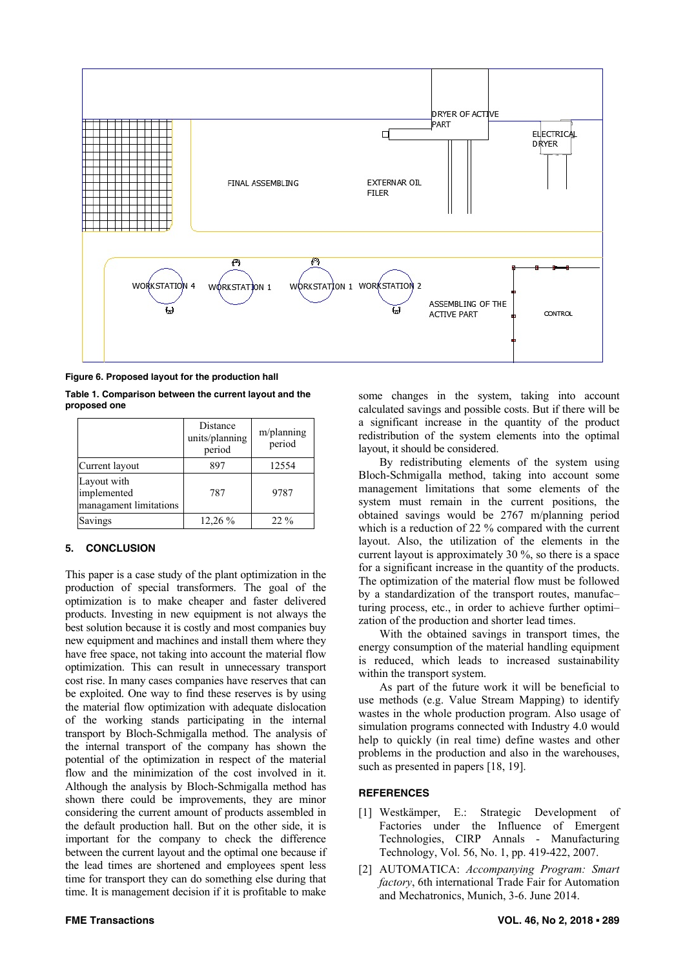

**Figure 6. Proposed layout for the production hall** 

| Table 1. Comparison between the current layout and the |  |  |
|--------------------------------------------------------|--|--|
| proposed one                                           |  |  |

|                                                      | Distance<br>units/planning<br>period | m/planning<br>period |
|------------------------------------------------------|--------------------------------------|----------------------|
| Current layout                                       | 897                                  | 12554                |
| Layout with<br>implemented<br>managament limitations | 787                                  | 9787                 |
| Savings                                              | 12,26 %                              | $22\%$               |

## **5. CONCLUSION**

This paper is a case study of the plant optimization in the production of special transformers. The goal of the optimization is to make cheaper and faster delivered products. Investing in new equipment is not always the best solution because it is costly and most companies buy new equipment and machines and install them where they have free space, not taking into account the material flow optimization. This can result in unnecessary transport cost rise. In many cases companies have reserves that can be exploited. One way to find these reserves is by using the material flow optimization with adequate dislocation of the working stands participating in the internal transport by Bloch-Schmigalla method. The analysis of the internal transport of the company has shown the potential of the optimization in respect of the material flow and the minimization of the cost involved in it. Although the analysis by Bloch-Schmigalla method has shown there could be improvements, they are minor considering the current amount of products assembled in the default production hall. But on the other side, it is important for the company to check the difference between the current layout and the optimal one because if the lead times are shortened and employees spent less time for transport they can do something else during that time. It is management decision if it is profitable to make some changes in the system, taking into account calculated savings and possible costs. But if there will be a significant increase in the quantity of the product redistribution of the system elements into the optimal layout, it should be considered.

By redistributing elements of the system using Bloch-Schmigalla method, taking into account some management limitations that some elements of the system must remain in the current positions, the obtained savings would be 2767 m/planning period which is a reduction of 22 % compared with the current layout. Also, the utilization of the elements in the current layout is approximately 30 %, so there is a space for a significant increase in the quantity of the products. The optimization of the material flow must be followed by a standardization of the transport routes, manufac– turing process, etc., in order to achieve further optimi– zation of the production and shorter lead times.

With the obtained savings in transport times, the energy consumption of the material handling equipment is reduced, which leads to increased sustainability within the transport system.

As part of the future work it will be beneficial to use methods (e.g. Value Stream Mapping) to identify wastes in the whole production program. Also usage of simulation programs connected with Industry 4.0 would help to quickly (in real time) define wastes and other problems in the production and also in the warehouses, such as presented in papers [18, 19].

## **REFERENCES**

- [1] Westkämper, E.: Strategic Development of Factories under the Influence of Emergent Technologies, CIRP Annals - Manufacturing Technology, Vol. 56, No. 1, pp. 419-422, 2007.
- [2] AUTOMATICA: *Accompanying Program: Smart factory*, 6th international Trade Fair for Automation and Mechatronics, Munich, 3-6. June 2014.